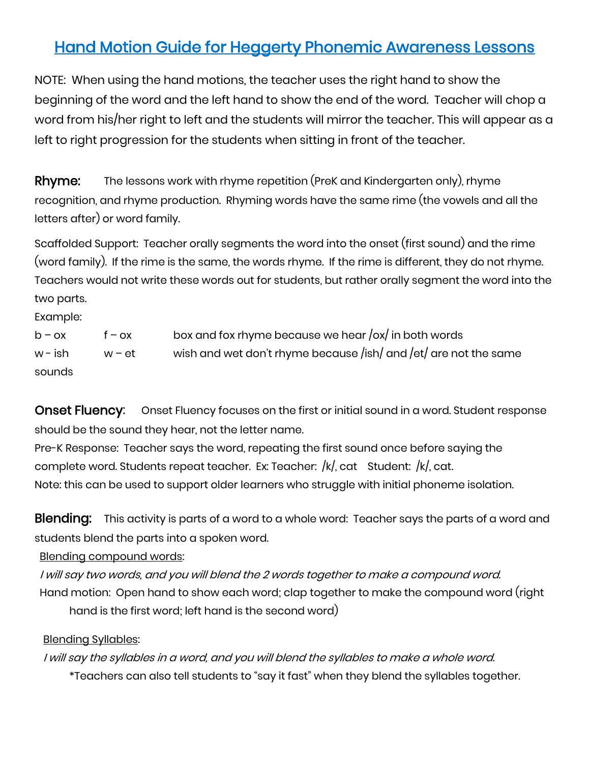# Hand Motion Guide for Heggerty Phonemic Awareness Lessons

NOTE: When using the hand motions, the teacher uses the right hand to show the beginning of the word and the left hand to show the end of the word. Teacher will chop a word from his/her right to left and the students will mirror the teacher. This will appear as a left to right progression for the students when sitting in front of the teacher.

Rhyme: The lessons work with rhyme repetition (PreK and Kindergarten only), rhyme recognition, and rhyme production. Rhyming words have the same rime (the vowels and all the letters after) or word family.

Scaffolded Support: Teacher orally segments the word into the onset (first sound) and the rime (word family). If the rime is the same, the words rhyme. If the rime is different, they do not rhyme. Teachers would not write these words out for students, but rather orally segment the word into the two parts.

Example:

| $b - \alpha x$ | $f - \alpha x$ | box and fox rhyme because we hear $\frac{1}{x}$ in both words    |
|----------------|----------------|------------------------------------------------------------------|
| w – ish        | w – et         | wish and wet don't rhyme because /ish/ and /et/ are not the same |
| sounds         |                |                                                                  |

**Onset Fluency:** Onset Fluency focuses on the first or initial sound in a word. Student response should be the sound they hear, not the letter name.

Pre-K Response: Teacher says the word, repeating the first sound once before saying the complete word. Students repeat teacher. Ex: Teacher: /k/, cat Student: /k/, cat. Note: this can be used to support older learners who struggle with initial phoneme isolation.

Blending: This activity is parts of a word to a whole word: Teacher says the parts of a word and students blend the parts into a spoken word.

Blending compound words:

I will say two words, and you will blend the 2 words together to make a compound word. Hand motion: Open hand to show each word; clap together to make the compound word (right hand is the first word; left hand is the second word)

#### Blending Syllables:

I will say the syllables in a word, and you will blend the syllables to make a whole word. \*Teachers can also tell students to "say it fast" when they blend the syllables together.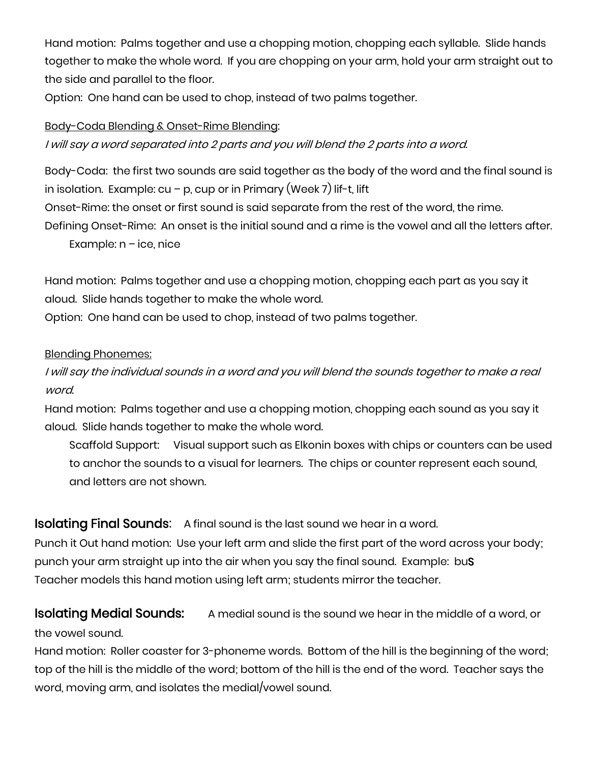Hand motion: Palms together and use a chopping motion, chopping each syllable. Slide hands together to make the whole word. If you are chopping on your arm, hold your arm straight out to the side and parallel to the floor.

Option: One hand can be used to chop, instead of two palms together.

#### Body-Coda Blending & Onset-Rime Blending:

I will say a word separated into 2 parts and you will blend the 2 parts into a word.

Body-Coda: the first two sounds are said together as the body of the word and the final sound is in isolation. Example: cu – p, cup or in Primary (Week 7) lif-t, lift

Onset-Rime: the onset or first sound is said separate from the rest of the word, the rime.

Defining Onset-Rime: An onset is the initial sound and a rime is the vowel and all the letters after.

Example:  $n - ice$ , nice

Hand motion: Palms together and use a chopping motion, chopping each part as you say it aloud. Slide hands together to make the whole word.

Option: One hand can be used to chop, instead of two palms together.

#### Blending Phonemes:

I will say the individual sounds in a word and you will blend the sounds together to make a real word.

Hand motion: Palms together and use a chopping motion, chopping each sound as you say it aloud. Slide hands together to make the whole word.

Scaffold Support: Visual support such as Elkonin boxes with chips or counters can be used to anchor the sounds to a visual for learners. The chips or counter represent each sound, and letters are not shown.

**Isolating Final Sounds:** A final sound is the last sound we hear in a word.

Punch it Out hand motion: Use your left arm and slide the first part of the word across your body; punch your arm straight up into the air when you say the final sound. Example: buS Teacher models this hand motion using left arm; students mirror the teacher.

# **Isolating Medial Sounds:** A medial sound is the sound we hear in the middle of a word, or

#### the vowel sound.

Hand motion: Roller coaster for 3-phoneme words. Bottom of the hill is the beginning of the word; top of the hill is the middle of the word; bottom of the hill is the end of the word. Teacher says the word, moving arm, and isolates the medial/vowel sound.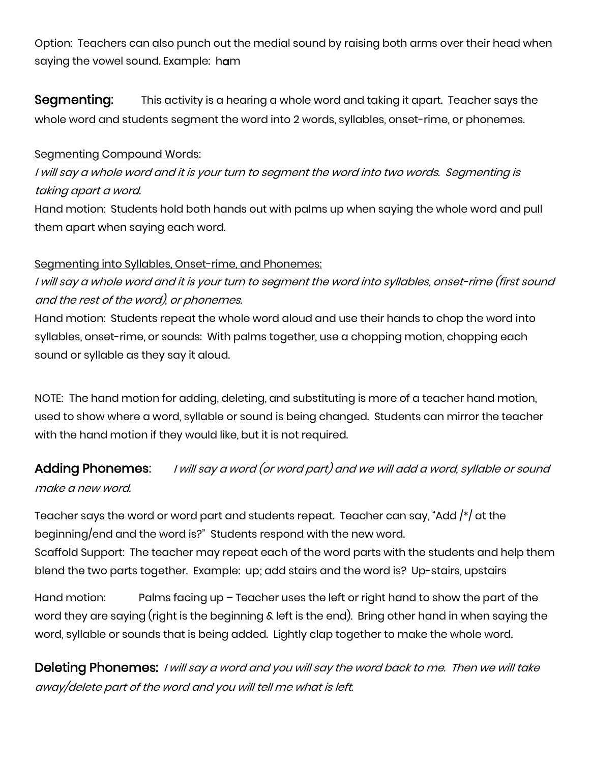Option: Teachers can also punch out the medial sound by raising both arms over their head when saying the vowel sound. Example: ham

Segmenting: This activity is a hearing a whole word and taking it apart. Teacher says the whole word and students segment the word into 2 words, syllables, onset-rime, or phonemes.

#### Segmenting Compound Words:

I will say a whole word and it is your turn to segment the word into two words. Segmenting is taking apart a word.

Hand motion: Students hold both hands out with palms up when saying the whole word and pull them apart when saying each word.

#### Segmenting into Syllables, Onset-rime, and Phonemes:

I will say a whole word and it is your turn to segment the word into syllables, onset-rime (first sound and the rest of the word), or phonemes.

Hand motion: Students repeat the whole word aloud and use their hands to chop the word into syllables, onset-rime, or sounds: With palms together, use a chopping motion, chopping each sound or syllable as they say it aloud.

NOTE: The hand motion for adding, deleting, and substituting is more of a teacher hand motion, used to show where a word, syllable or sound is being changed. Students can mirror the teacher with the hand motion if they would like, but it is not required.

# Adding Phonemes: I will say a word (or word part) and we will add a word, syllable or sound make a new word.

Teacher says the word or word part and students repeat. Teacher can say, "Add  $\frac{1}{2}$  at the beginning/end and the word is?" Students respond with the new word. Scaffold Support: The teacher may repeat each of the word parts with the students and help them blend the two parts together. Example: up; add stairs and the word is? Up-stairs, upstairs

Hand motion: Palms facing up – Teacher uses the left or right hand to show the part of the word they are saying (right is the beginning & left is the end). Bring other hand in when saying the word, syllable or sounds that is being added. Lightly clap together to make the whole word.

Deleting Phonemes: I will say a word and you will say the word back to me. Then we will take away/delete part of the word and you will tell me what is left.